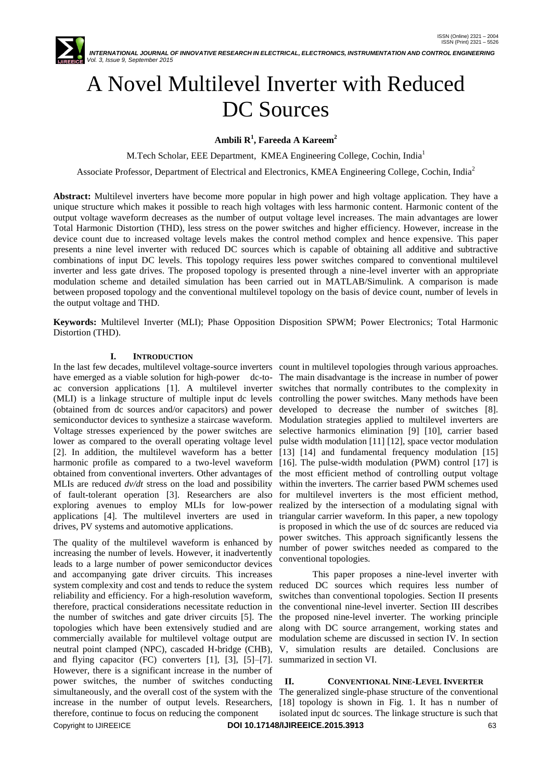

# A Novel Multilevel Inverter with Reduced DC Sources

## **Ambili R<sup>1</sup> , Fareeda A Kareem<sup>2</sup>**

M.Tech Scholar, EEE Department, KMEA Engineering College, Cochin, India<sup>1</sup>

Associate Professor, Department of Electrical and Electronics, KMEA Engineering College, Cochin, India<sup>2</sup>

**Abstract:** Multilevel inverters have become more popular in high power and high voltage application. They have a unique structure which makes it possible to reach high voltages with less harmonic content. Harmonic content of the output voltage waveform decreases as the number of output voltage level increases. The main advantages are lower Total Harmonic Distortion (THD), less stress on the power switches and higher efficiency. However, increase in the device count due to increased voltage levels makes the control method complex and hence expensive. This paper presents a nine level inverter with reduced DC sources which is capable of obtaining all additive and subtractive combinations of input DC levels. This topology requires less power switches compared to conventional multilevel inverter and less gate drives. The proposed topology is presented through a nine-level inverter with an appropriate modulation scheme and detailed simulation has been carried out in MATLAB/Simulink. A comparison is made between proposed topology and the conventional multilevel topology on the basis of device count, number of levels in the output voltage and THD.

**Keywords:** Multilevel Inverter (MLI); Phase Opposition Disposition SPWM; Power Electronics; Total Harmonic Distortion (THD).

#### **I. INTRODUCTION**

In the last few decades, multilevel voltage-source inverters count in multilevel topologies through various approaches. have emerged as a viable solution for high-power dc-to- The main disadvantage is the increase in number of power ac conversion applications [1]. A multilevel inverter switches that normally contributes to the complexity in (MLI) is a linkage structure of multiple input dc levels controlling the power switches. Many methods have been (obtained from dc sources and/or capacitors) and power semiconductor devices to synthesize a staircase waveform. Voltage stresses experienced by the power switches are lower as compared to the overall operating voltage level [2]. In addition, the multilevel waveform has a better harmonic profile as compared to a two-level waveform obtained from conventional inverters. Other advantages of MLIs are reduced *dv/dt* stress on the load and possibility of fault-tolerant operation [3]. Researchers are also exploring avenues to employ MLIs for low-power applications [4]. The multilevel inverters are used in triangular carrier waveform. In this paper, a new topology drives, PV systems and automotive applications.

Copyright to IJIREEICE **DOI 10.17148/IJIREEICE.2015.3913** 63 The quality of the multilevel waveform is enhanced by increasing the number of levels. However, it inadvertently leads to a large number of power semiconductor devices and accompanying gate driver circuits. This increases system complexity and cost and tends to reduce the system reduced DC sources which requires less number of reliability and efficiency. For a high-resolution waveform, therefore, practical considerations necessitate reduction in the number of switches and gate driver circuits [5]. The topologies which have been extensively studied and are commercially available for multilevel voltage output are neutral point clamped (NPC), cascaded H-bridge (CHB), and flying capacitor (FC) converters [1], [3], [5]–[7]. However, there is a significant increase in the number of power switches, the number of switches conducting increase in the number of output levels. Researchers, [18] topology is shown in Fig. 1. It has n number of therefore, continue to focus on reducing the component

developed to decrease the number of switches [8]. Modulation strategies applied to multilevel inverters are selective harmonics elimination [9] [10], carrier based pulse width modulation [11] [12], space vector modulation [13] [14] and fundamental frequency modulation [15] [16]. The pulse-width modulation (PWM) control [17] is the most efficient method of controlling output voltage within the inverters. The carrier based PWM schemes used for multilevel inverters is the most efficient method, realized by the intersection of a modulating signal with is proposed in which the use of dc sources are reduced via power switches. This approach significantly lessens the number of power switches needed as compared to the conventional topologies.

This paper proposes a nine-level inverter with switches than conventional topologies. Section II presents the conventional nine-level inverter. Section III describes the proposed nine-level inverter. The working principle along with DC source arrangement, working states and modulation scheme are discussed in section IV. In section V, simulation results are detailed. Conclusions are summarized in section VI.

#### **II. CONVENTIONAL NINE-LEVEL INVERTER**

simultaneously, and the overall cost of the system with the The generalized single-phase structure of the conventional isolated input dc sources. The linkage structure is such that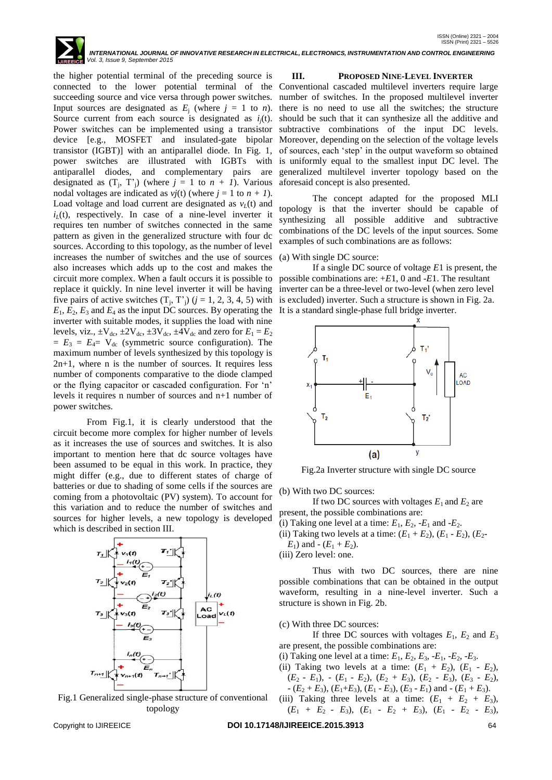*Vol. 3, Issue 9, September 2015*

the higher potential terminal of the preceding source is connected to the lower potential terminal of the succeeding source and vice versa through power switches. Input sources are designated as  $E_i$  (where  $j = 1$  to *n*). Source current from each source is designated as  $i_i(t)$ . Power switches can be implemented using a transistor device [e.g., MOSFET and insulated-gate bipolar transistor (IGBT)] with an antiparallel diode. In Fig. 1, power switches are illustrated with IGBTs with antiparallel diodes, and complementary pairs are designated as  $(T_j, T'_j)$  (where  $j = 1$  to  $n + 1$ ). Various nodal voltages are indicated as  $vj(t)$  (where  $j = 1$  to  $n + 1$ ). Load voltage and load current are designated as  $v_L(t)$  and  $i_l(t)$ , respectively. In case of a nine-level inverter it requires ten number of switches connected in the same pattern as given in the generalized structure with four dc sources. According to this topology, as the number of level increases the number of switches and the use of sources also increases which adds up to the cost and makes the circuit more complex. When a fault occurs it is possible to replace it quickly. In nine level inverter it will be having five pairs of active switches  $(T_j, T'_j)$   $(j = 1, 2, 3, 4, 5)$  with  $E_1, E_2, E_3$  and  $E_4$  as the input DC sources. By operating the inverter with suitable modes, it supplies the load with nine levels, viz.,  $\pm V_{dc}$ ,  $\pm 2V_{dc}$ ,  $\pm 3V_{dc}$ ,  $\pm 4V_{dc}$  and zero for  $E_1 = E_2$  $E_3 = E_4 = V_{dc}$  (symmetric source configuration). The maximum number of levels synthesized by this topology is 2n+1, where n is the number of sources. It requires less number of components comparative to the diode clamped or the flying capacitor or cascaded configuration. For "n" levels it requires n number of sources and n+1 number of power switches.

From Fig.1, it is clearly understood that the circuit become more complex for higher number of levels as it increases the use of sources and switches. It is also important to mention here that dc source voltages have been assumed to be equal in this work. In practice, they might differ (e.g., due to different states of charge of batteries or due to shading of some cells if the sources are coming from a photovoltaic (PV) system). To account for this variation and to reduce the number of switches and sources for higher levels, a new topology is developed which is described in section III.



Fig.1 Generalized single-phase structure of conventional topology

#### **III. PROPOSED NINE-LEVEL INVERTER**

Conventional cascaded multilevel inverters require large number of switches. In the proposed multilevel inverter there is no need to use all the switches; the structure should be such that it can synthesize all the additive and subtractive combinations of the input DC levels. Moreover, depending on the selection of the voltage levels of sources, each "step" in the output waveform so obtained is uniformly equal to the smallest input DC level. The generalized multilevel inverter topology based on the aforesaid concept is also presented.

The concept adapted for the proposed MLI topology is that the inverter should be capable of synthesizing all possible additive and subtractive combinations of the DC levels of the input sources. Some examples of such combinations are as follows:

#### (a) With single DC source:

 *INTERNATIONAL JOURNAL OF INNOVATIVE RESEARCH IN ELECTRICAL, ELECTRONICS, INSTRUMENTATION AND CONTROL ENGINEERING*

If a single DC source of voltage *E*1 is present, the possible combinations are: +*E*1, 0 and -*E*1. The resultant inverter can be a three-level or two-level (when zero level is excluded) inverter. Such a structure is shown in Fig. 2a. It is a standard single-phase full bridge inverter.



Fig.2a Inverter structure with single DC source

(b) With two DC sources:

If two DC sources with voltages  $E_1$  and  $E_2$  are present, the possible combinations are:

(i) Taking one level at a time:  $E_1$ ,  $E_2$ ,  $-E_1$  and  $-E_2$ .

(ii) Taking two levels at a time:  $(E_1 + E_2)$ ,  $(E_1 - E_2)$ ,  $(E_2 - E_1)$  $E_1$ ) and  $-(E_1 + E_2)$ .

(iii) Zero level: one.

Thus with two DC sources, there are nine possible combinations that can be obtained in the output waveform, resulting in a nine-level inverter. Such a structure is shown in Fig. 2b.

(c) With three DC sources:

If three DC sources with voltages  $E_1$ ,  $E_2$  and  $E_3$ are present, the possible combinations are:

(i) Taking one level at a time:  $E_1, E_2, E_3, -E_1, -E_2, -E_3$ .

(ii) Taking two levels at a time:  $(E_1 + E_2)$ ,  $(E_1 - E_2)$ ,  $(E_2 - E_1)$ ,  $-(E_1 - E_2)$ ,  $(E_2 + E_3)$ ,  $(E_2 - E_3)$ ,  $(E_3 - E_2)$ ,

 $-(E_2 + E_3)$ ,  $(E_1+E_3)$ ,  $(E_1 - E_3)$ ,  $(E_3 - E_1)$  and  $-(E_1 + E_3)$ . (iii) Taking three levels at a time:  $(E_1 + E_2 + E_3)$ ,

 $(E_1 + E_2 - E_3), (E_1 - E_2 + E_3), (E_1 - E_2 - E_3),$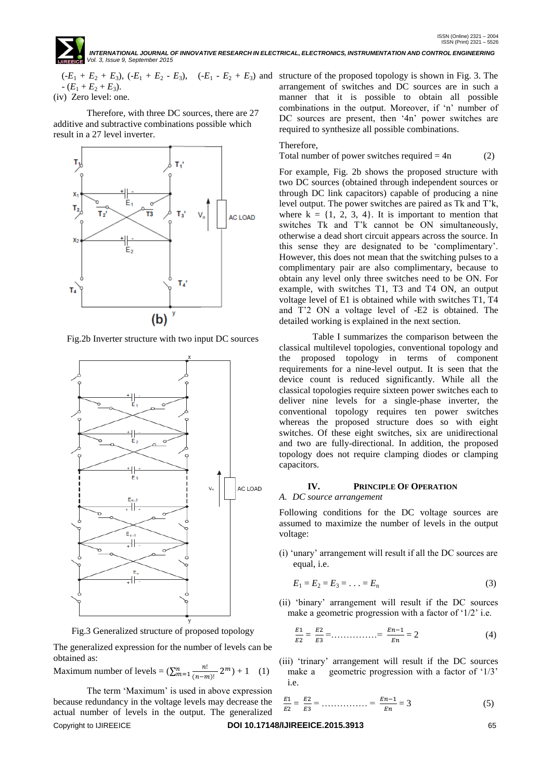$-(E_1 + E_2 + E_3).$ 

(iv) Zero level: one.

Therefore, with three DC sources, there are 27 additive and subtractive combinations possible which result in a 27 level inverter.



Fig.2b Inverter structure with two input DC sources



Fig.3 Generalized structure of proposed topology

The generalized expression for the number of levels can be obtained as:

Maximum number of levels = 
$$
(\sum_{m=1}^{n} \frac{n!}{(n-m)!} 2^m) + 1
$$
 (1)

Copyright to IJIREEICE **DOI 10.17148/IJIREEICE.2015.3913** 65 The term 'Maximum' is used in above expression because redundancy in the voltage levels may decrease the actual number of levels in the output. The generalized

 $(-E_1 + E_2 + E_3)$ ,  $(-E_1 + E_2 - E_3)$ ,  $(-E_1 - E_2 + E_3)$  and structure of the proposed topology is shown in Fig. 3. The arrangement of switches and DC sources are in such a manner that it is possible to obtain all possible combinations in the output. Moreover, if 'n' number of DC sources are present, then '4n' power switches are required to synthesize all possible combinations.

#### Therefore,

Total number of power switches required  $= 4n$  (2)

For example, Fig. 2b shows the proposed structure with two DC sources (obtained through independent sources or through DC link capacitors) capable of producing a nine level output. The power switches are paired as Tk and T"k, where  $k = \{1, 2, 3, 4\}$ . It is important to mention that switches Tk and T"k cannot be ON simultaneously, otherwise a dead short circuit appears across the source. In this sense they are designated to be "complimentary". However, this does not mean that the switching pulses to a complimentary pair are also complimentary, because to obtain any level only three switches need to be ON. For example, with switches T1, T3 and T4 ON, an output voltage level of E1 is obtained while with switches T1, T4 and T"2 ON a voltage level of -E2 is obtained. The detailed working is explained in the next section.

Table I summarizes the comparison between the classical multilevel topologies, conventional topology and the proposed topology in terms of component requirements for a nine-level output. It is seen that the device count is reduced significantly. While all the classical topologies require sixteen power switches each to deliver nine levels for a single-phase inverter, the conventional topology requires ten power switches whereas the proposed structure does so with eight switches. Of these eight switches, six are unidirectional and two are fully-directional. In addition, the proposed topology does not require clamping diodes or clamping capacitors.

#### **IV. PRINCIPLE OF OPERATION**

*A. DC source arrangement* 

Following conditions for the DC voltage sources are assumed to maximize the number of levels in the output voltage:

(i) "unary" arrangement will result if all the DC sources are equal, i.e.

$$
E_1 = E_2 = E_3 = \ldots = E_n \tag{3}
$$

(ii) "binary" arrangement will result if the DC sources make a geometric progression with a factor of '1/2' i.e.

$$
\frac{E1}{E2} = \frac{E2}{E3} = \dots \dots \dots \dots = \frac{En-1}{En} = 2 \tag{4}
$$

(iii) "trinary" arrangement will result if the DC sources make a geometric progression with a factor of '1/3' i.e.

$$
\frac{E1}{E2} = \frac{E2}{E3} = \dots \dots \dots \dots = \frac{En-1}{En} = 3 \tag{5}
$$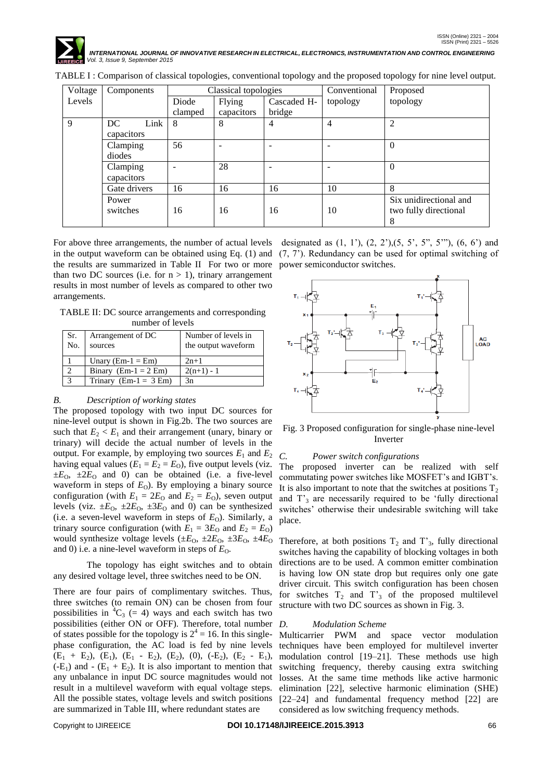

| Voltage | Components   | Classical topologies |            |             | Conventional | Proposed               |
|---------|--------------|----------------------|------------|-------------|--------------|------------------------|
| Levels  |              | Diode                | Flying     | Cascaded H- | topology     | topology               |
|         |              | clamped              | capacitors | bridge      |              |                        |
| 9       | DC.<br>Link  | 8                    | 8          | 4           | 4            | $\overline{c}$         |
|         | capacitors   |                      |            |             |              |                        |
|         | Clamping     | 56                   |            |             |              | $\Omega$               |
|         | diodes       |                      |            |             |              |                        |
|         | Clamping     |                      | 28         |             |              | $\theta$               |
|         | capacitors   |                      |            |             |              |                        |
|         | Gate drivers | 16                   | 16         | 16          | 10           | 8                      |
|         | Power        |                      |            |             |              | Six unidirectional and |
|         | switches     | 16                   | 16         | 16          | 10           | two fully directional  |
|         |              |                      |            |             |              |                        |

TABLE I : Comparison of classical topologies, conventional topology and the proposed topology for nine level output.

For above three arrangements, the number of actual levels in the output waveform can be obtained using Eq.  $(1)$  and  $(7, 7)$ . Redundancy can be used for optimal switching of the results are summarized in Table II For two or more than two DC sources (i.e. for  $n > 1$ ), trinary arrangement results in most number of levels as compared to other two arrangements.

TABLE II: DC source arrangements and corresponding number of levels

| Sr.<br>No. | Arrangement of DC<br>sources | Number of levels in<br>the output waveform |
|------------|------------------------------|--------------------------------------------|
|            | Unary ( $Em-1 = Em$ )        | $2n+1$                                     |
|            | Binary $(Em-1 = 2 Em)$       | $2(n+1) - 1$                               |
|            | Trinary $(Em-1 = 3 Em)$      | 3n                                         |

#### *B. Description of working states*

The proposed topology with two input DC sources for nine-level output is shown in Fig.2b. The two sources are such that  $E_2 < E_1$  and their arrangement (unary, binary or trinary) will decide the actual number of levels in the output. For example, by employing two sources  $E_1$  and  $E_2$ having equal values  $(E_1 = E_2 = E_0)$ , five output levels (viz.  $\pm E_O$ ,  $\pm 2E_O$  and 0) can be obtained (i.e. a five-level waveform in steps of  $E_0$ ). By employing a binary source configuration (with  $E_1 = 2E_0$  and  $E_2 = E_0$ ), seven output levels (viz.  $\pm E_0$ ,  $\pm 2E_0$ ,  $\pm 3E_0$  and 0) can be synthesized (i.e. a seven-level waveform in steps of  $E_0$ ). Similarly, a trinary source configuration (with  $E_1 = 3E_0$  and  $E_2 = E_0$ ) would synthesize voltage levels  $(\pm E_0, \pm 2E_0, \pm 3E_0, \pm 4E_0)$ and 0) i.e. a nine-level waveform in steps of  $E<sub>O</sub>$ .

The topology has eight switches and to obtain any desired voltage level, three switches need to be ON.

There are four pairs of complimentary switches. Thus, three switches (to remain ON) can be chosen from four possibilities in  ${}^4C_3$  (= 4) ways and each switch has two possibilities (either ON or OFF). Therefore, total number of states possible for the topology is  $2^4 = 16$ . In this singlephase configuration, the AC load is fed by nine levels  $(E_1 + E_2)$ ,  $(E_1)$ ,  $(E_1 - E_2)$ ,  $(E_2)$ ,  $(0)$ ,  $(-E_2)$ ,  $(E_2 - E_1)$ ,  $(-E_1)$  and  $-(E_1 + E_2)$ . It is also important to mention that any unbalance in input DC source magnitudes would not result in a multilevel waveform with equal voltage steps. All the possible states, voltage levels and switch positions are summarized in Table III, where redundant states are

designated as  $(1, 1)$ ,  $(2, 2)$ ,  $(5, 5, 5, 5, 5)$ ,  $(6, 6)$  and power semiconductor switches.



Fig. 3 Proposed configuration for single-phase nine-level Inverter

### *C. Power switch configurations*

The proposed inverter can be realized with self commutating power switches like MOSFET"s and IGBT"s. It is also important to note that the switches at positions  $T_2$ and  $T<sub>3</sub>$  are necessarily required to be 'fully directional switches" otherwise their undesirable switching will take place.

Therefore, at both positions  $T_2$  and  $T_3$ , fully directional switches having the capability of blocking voltages in both directions are to be used. A common emitter combination is having low ON state drop but requires only one gate driver circuit. This switch configuration has been chosen for switches  $T_2$  and  $T_3$  of the proposed multilevel structure with two DC sources as shown in Fig. 3.

#### *D. Modulation Scheme*

Multicarrier PWM and space vector modulation techniques have been employed for multilevel inverter modulation control [19–21]. These methods use high switching frequency, thereby causing extra switching losses. At the same time methods like active harmonic elimination [22], selective harmonic elimination (SHE) [22–24] and fundamental frequency method [22] are considered as low switching frequency methods.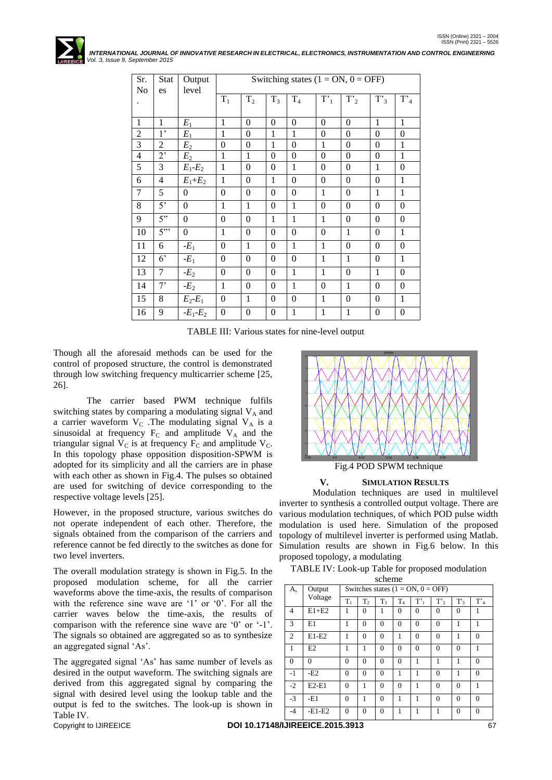

| Sr.            | Stat             | Output         |                  | Switching states $(1 = ON, 0 = OFF)$ |                  |                  |                  |                  |                  |                  |
|----------------|------------------|----------------|------------------|--------------------------------------|------------------|------------------|------------------|------------------|------------------|------------------|
| N <sub>o</sub> | es               | level          |                  |                                      |                  |                  |                  |                  |                  |                  |
|                |                  |                | $T_1$            | T <sub>2</sub>                       | $T_3$            | $T_4$            | $T'_1$           | $T'_2$           | $T'_{3}$         | $\overline{T}_4$ |
|                |                  |                |                  |                                      |                  |                  |                  |                  |                  |                  |
| $\mathbf{1}$   | $\mathbf{1}$     | $E_1$          | $\mathbf{1}$     | $\theta$                             | $\theta$         | $\theta$         | $\mathbf{0}$     | $\theta$         | $\mathbf{1}$     | $\mathbf{1}$     |
| $\overline{2}$ | 1'               | $E_1$          | $\mathbf{1}$     | $\theta$                             | $\mathbf{1}$     | $\mathbf{1}$     | $\theta$         | $\mathbf{0}$     | $\theta$         | $\mathbf{0}$     |
| 3              | $\overline{2}$   | E <sub>2</sub> | $\boldsymbol{0}$ | $\boldsymbol{0}$                     | $\mathbf{1}$     | $\mathbf{0}$     | $\mathbf{1}$     | $\boldsymbol{0}$ | $\overline{0}$   | $\mathbf{1}$     |
| $\overline{4}$ | 2'               | $E_2$          | $\mathbf{1}$     | 1                                    | $\theta$         | $\theta$         | $\theta$         | $\overline{0}$   | $\overline{0}$   | $\mathbf{1}$     |
| 5              | 3                | $E_1-E_2$      | $\mathbf{1}$     | $\theta$                             | $\theta$         | $\mathbf{1}$     | $\theta$         | $\mathbf{0}$     | $\mathbf{1}$     | $\mathbf{0}$     |
| 6              | $\overline{4}$   | $E_1+E_2$      | $\mathbf{1}$     | $\boldsymbol{0}$                     | $\mathbf{1}$     | $\theta$         | $\boldsymbol{0}$ | $\mathbf{0}$     | $\theta$         | $\mathbf{1}$     |
| $\overline{7}$ | 5                | $\overline{0}$ | $\boldsymbol{0}$ | $\boldsymbol{0}$                     | $\Omega$         | $\theta$         | $\mathbf{1}$     | $\theta$         | $\mathbf{1}$     | $\mathbf{1}$     |
| 8              | 5'               | $\overline{0}$ | $\mathbf{1}$     | $\mathbf{1}$                         | $\overline{0}$   | $\mathbf{1}$     | $\overline{0}$   | $\overline{0}$   | $\overline{0}$   | $\overline{0}$   |
| 9              | $\overline{5}$ " | $\theta$       | $\boldsymbol{0}$ | $\boldsymbol{0}$                     | $\mathbf{1}$     | $\mathbf{1}$     | $\mathbf{1}$     | $\theta$         | $\theta$         | $\mathbf{0}$     |
| 10             | 5"               | $\mathbf{0}$   | $\mathbf{1}$     | $\boldsymbol{0}$                     | $\overline{0}$   | $\boldsymbol{0}$ | $\overline{0}$   | $\mathbf{1}$     | $\boldsymbol{0}$ | $\mathbf{1}$     |
| 11             | 6                | $-E_1$         | $\boldsymbol{0}$ | $\mathbf{1}$                         | $\overline{0}$   | $\mathbf{1}$     | $\mathbf{1}$     | $\overline{0}$   | $\overline{0}$   | $\overline{0}$   |
| 12             | 6 <sup>2</sup>   | $-E_1$         | $\boldsymbol{0}$ | $\overline{0}$                       | $\overline{0}$   | $\overline{0}$   | $\mathbf{1}$     | $\mathbf{1}$     | $\boldsymbol{0}$ | $\mathbf{1}$     |
| 13             | $\overline{7}$   | $-E_2$         | $\boldsymbol{0}$ | $\boldsymbol{0}$                     | $\theta$         | $\mathbf{1}$     | $\mathbf{1}$     | $\theta$         | $\mathbf{1}$     | $\mathbf{0}$     |
| 14             | 7'               | $-E_2$         | $\mathbf{1}$     | $\boldsymbol{0}$                     | $\overline{0}$   | $\mathbf{1}$     | $\overline{0}$   | $\mathbf{1}$     | $\overline{0}$   | $\theta$         |
| 15             | 8                | $E_2-E_1$      | $\boldsymbol{0}$ | $\mathbf{1}$                         | $\theta$         | $\theta$         | $\mathbf{1}$     | $\boldsymbol{0}$ | $\boldsymbol{0}$ | $\mathbf{1}$     |
| 16             | 9                | $-E_1-E_2$     | $\boldsymbol{0}$ | $\boldsymbol{0}$                     | $\boldsymbol{0}$ | $\mathbf{1}$     | $\mathbf{1}$     | $\mathbf{1}$     | $\overline{0}$   | $\mathbf{0}$     |

TABLE III: Various states for nine-level output

Though all the aforesaid methods can be used for the control of proposed structure, the control is demonstrated through low switching frequency multicarrier scheme [25, 26].

The carrier based PWM technique fulfils switching states by comparing a modulating signal  $V_A$  and a carrier waveform  $V_C$ . The modulating signal  $V_A$  is a sinusoidal at frequency  $F_C$  and amplitude  $V_A$  and the triangular signal  $V_C$  is at frequency  $F_C$  and amplitude  $V_C$ . In this topology phase opposition disposition-SPWM is adopted for its simplicity and all the carriers are in phase with each other as shown in Fig.4. The pulses so obtained are used for switching of device corresponding to the respective voltage levels [25].

However, in the proposed structure, various switches do not operate independent of each other. Therefore, the signals obtained from the comparison of the carriers and reference cannot be fed directly to the switches as done for two level inverters.

The overall modulation strategy is shown in Fig.5. In the proposed modulation scheme, for all the carrier waveforms above the time-axis, the results of comparison with the reference sine wave are '1' or '0'. For all the carrier waves below the time-axis, the results of comparison with the reference sine wave are '0' or '-1'. The signals so obtained are aggregated so as to synthesize an aggregated signal "As".

The aggregated signal "As" has same number of levels as desired in the output waveform. The switching signals are derived from this aggregated signal by comparing the signal with desired level using the lookup table and the output is fed to the switches. The look-up is shown in Table IV.



## **V. SIMULATION RESULTS**

Modulation techniques are used in multilevel inverter to synthesis a controlled output voltage. There are various modulation techniques, of which POD pulse width modulation is used here. Simulation of the proposed topology of multilevel inverter is performed using Matlab. Simulation results are shown in Fig.6 below. In this proposed topology, a modulating

| scheme         |                                               |          |          |                |          |          |          |          |          |
|----------------|-----------------------------------------------|----------|----------|----------------|----------|----------|----------|----------|----------|
| $A_{s}$        | Switches states $(1 = ON, 0 = OFF)$<br>Output |          |          |                |          |          |          |          |          |
|                | Voltage                                       | $T_1$    | $T_{2}$  | T <sub>3</sub> | $T_4$    | T'       | T'       | T'       | $T'_4$   |
| 4              | $E1+E2$                                       | 1        | $\theta$ | 1              | $\Omega$ | $\theta$ | $\Omega$ | $\theta$ | 1        |
| 3              | E1                                            | 1        | $\theta$ | $\Omega$       | $\Omega$ | $\theta$ | $\Omega$ | 1        | 1        |
| $\overline{2}$ | $E1-E2$                                       | 1        | $\theta$ | $\Omega$       | 1        | $\theta$ | $\Omega$ | 1        | $\Omega$ |
| 1              | E2                                            | 1        | 1        | $\Omega$       | $\theta$ | $\theta$ | $\Omega$ | $\theta$ | 1        |
| $\Omega$       | $\theta$                                      | $\Omega$ | $\Omega$ | $\theta$       | $\theta$ | 1        | 1        | 1        | $\Omega$ |
| $-1$           | $-E2$                                         | $\Omega$ | $\Omega$ | $\Omega$       | 1        | 1        | $\Omega$ | 1        | $\Omega$ |
| $-2$           | $E2-E1$                                       | $\theta$ | 1        | $\Omega$       | $\theta$ | 1        | $\Omega$ | $\theta$ | 1        |
| $-3$           | -E1                                           | $\Omega$ | 1        | $\Omega$       | 1        | 1        | $\Omega$ | $\theta$ | $\Omega$ |
| $-4$           | $-E1-E2$                                      | $\Omega$ | $\Omega$ | $\Omega$       | 1        | 1        | 1        | $\Omega$ | $\theta$ |

Copyright to IJIREEICE **DOI 10.17148/IJIREEICE.2015.3913** 67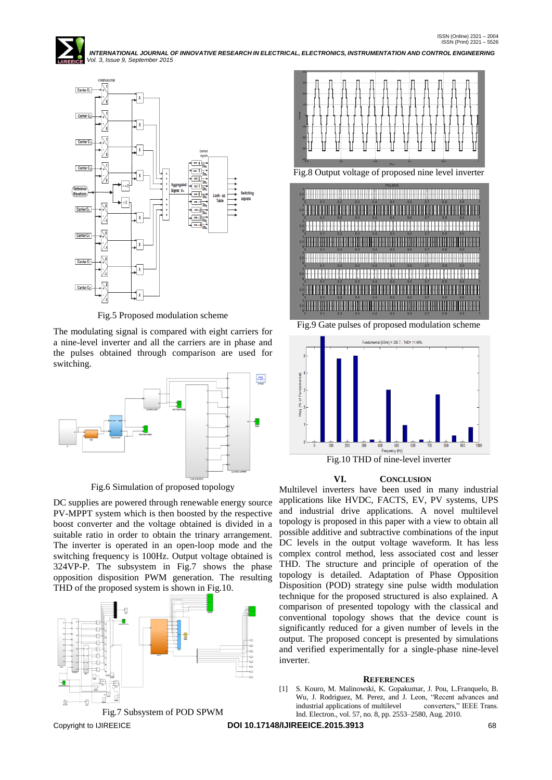

Fig.5 Proposed modulation scheme

The modulating signal is compared with eight carriers for a nine-level inverter and all the carriers are in phase and the pulses obtained through comparison are used for switching.



Fig.6 Simulation of proposed topology

DC supplies are powered through renewable energy source PV-MPPT system which is then boosted by the respective boost converter and the voltage obtained is divided in a suitable ratio in order to obtain the trinary arrangement. The inverter is operated in an open-loop mode and the switching frequency is 100Hz. Output voltage obtained is 324VP-P. The subsystem in Fig.7 shows the phase opposition disposition PWM generation. The resulting THD of the proposed system is shown in Fig.10.





Fig.8 Output voltage of proposed nine level inverter



Fig.9 Gate pulses of proposed modulation scheme



#### **VI. CONCLUSION**

Multilevel inverters have been used in many industrial applications like HVDC, FACTS, EV, PV systems, UPS and industrial drive applications. A novel multilevel topology is proposed in this paper with a view to obtain all possible additive and subtractive combinations of the input DC levels in the output voltage waveform. It has less complex control method, less associated cost and lesser THD. The structure and principle of operation of the topology is detailed. Adaptation of Phase Opposition Disposition (POD) strategy sine pulse width modulation technique for the proposed structured is also explained. A comparison of presented topology with the classical and conventional topology shows that the device count is significantly reduced for a given number of levels in the output. The proposed concept is presented by simulations and verified experimentally for a single-phase nine-level inverter.

#### **REFERENCES**

[1] S. Kouro, M. Malinowski, K. Gopakumar, J. Pou, L.Franquelo, B. Wu, J. Rodriguez, M. Perez, and J. Leon, "Recent advances and industrial applications of multilevel converters," IEEE Trans. industrial applications of multilevel Ind. Electron., vol. 57, no. 8, pp. 2553–2580, Aug. 2010.

Copyright to IJIREEICE **DOI 10.17148/IJIREEICE.2015.3913** 68